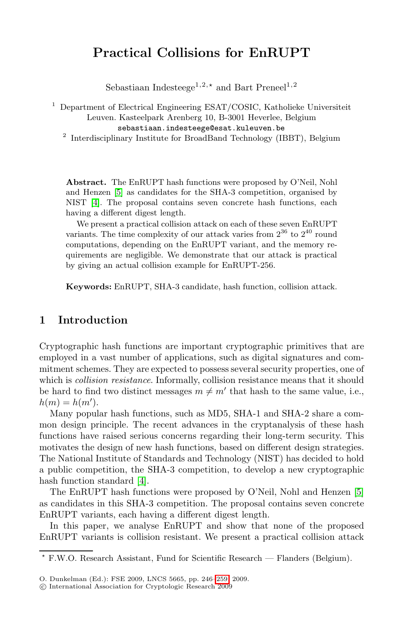# **Practical Collisions for EnRUPT**

Sebastiaan Indesteege<sup>1,2, $\star$ </sup> and Bart Preneel<sup>1,2</sup>

<sup>1</sup> Department of Electrical Engineering ESAT/COSIC, Katholieke Universiteit Leuven. Kasteelpark Arenberg 10, B-3001 Heverlee, Belgium

sebastiaan.indesteege@esat.kuleuven.be <sup>2</sup> Interdisciplinary Institute for BroadBand Technology (IBBT), Belgium

**Abstract.** The EnRUPT hash functions were proposed by O'Neil, Nohl and Henzen [5] as candidates for the SHA-3 competition, organised by NIST [4]. The proposal contains seven concrete hash functions, each having a different digest length.

We present a practical collision attack on each of these seven EnRUPT variants. The time complexity of our attack varies from  $2^{36}$  to  $2^{40}$  round computations, depending on the EnRUPT variant, and the memory requirements are negligible. We demonstrate that our attack is practical by giving an actual collision example for EnRUPT-256.

**Keywords:** EnRUPT, SHA-3 candidate, hash function, collision attack.

# **1 Introduction**

Cryptographic hash functions are important cryptographic primitives that are employed in a vast number of applications, such as digital signatures and commitment schemes. They are expected to possess several security properties, one of which is *collision resistance*. Informally, collision resistance means that it should be h[ard](#page-12-0) to find two distinct messages  $m \neq m'$  that hash to the same value, i.e.,  $h(m) = h(m').$ 

Many popular hash functions, such as MD5, SHA-1 an[d](#page-12-1) [S](#page-12-1)HA-2 share a common design principle. The recent advances in the cryptanalysis of these hash functions have raised serious concerns regarding their long-term security. This motivates the design of new hash functions, based on different design strategies. The National Institute of Standards and Technology (NIST) has decided to hold a public competition, the SHA-3 competition, to develop a new cryptographic hash function standard [4].

The EnRUPT hash f[unct](#page-13-0)ions were proposed by O'Neil, Nohl and Henzen [5] as candidates in this SHA-3 competition. The proposal contains seven concrete EnRUPT variants, each having a different digest length.

In this paper, we analyse EnRUPT and show that none of the proposed EnRUPT variants is collision resistant. We present a practical collision attack

<sup>-</sup> F.W.O. Research Assistant, Fund for Scientific Research — Flanders (Belgium).

O. Dunkelman (Ed.): FSE 2009, LNCS 5665, pp. 246–259, 2009.

c International Association for Cryptologic Research 2009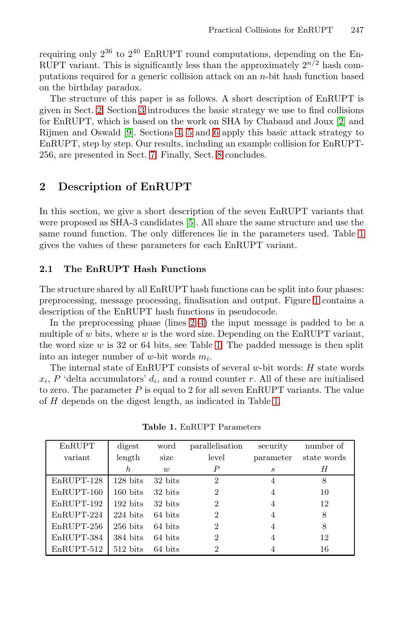re[qu](#page-13-1)iring only  $2^{36}$  $2^{36}$  $2^{36}$  $2^{36}$  to  $2^{40}$  $2^{40}$  $2^{40}$  EnRUPT round computations, depending on the EnRUPT [var](#page-9-0)iant. This is s[ign](#page-12-3)ificantly less than the approximately  $2^{n/2}$  hash computations required for a generic collision attack on an n-bit hash function based on the birthday paradox.

The structure of this paper is as follows. A short description of EnRUPT is given in Sect. 2. Section 3 introduces the basic strategy we use to find collisions for EnRUPT, which is based on the work on SHA by Chabaud and Joux [2] and Rijmen and Osw[ald](#page-12-1) [9]. Sections 4, 5 and 6 apply this basic attack strategy to EnRUPT, step by step. Our results, including an example c[oll](#page-1-0)ision for EnRUPT-256, are presented in Sect. 7. Finally, Sect. 8 concludes.

# **2 Description of EnRUPT**

In this section, we give a short description of t[he](#page-2-0) seven EnRUPT variants that were proposed as SHA-3 candidates [5]. All share the same structure and use the same round func[tio](#page-2-1)[n.](#page-2-2) The only differences lie in the parameters used. Table 1 gives the values of these parameters for each EnRUPT variant.

# **2.1 The EnRUPT Hash Functions**

The structure shared by all EnRUPT hash functions can be split into four phases: preprocessing, message processing, finalisation and output. Figure 1 contains a description of the EnRUPT hash func[tio](#page-1-0)ns in pseudocode.

In the preprocessing phase (lines 2–4) the input message is padded to be a multiple of w bits, where w is the word size. Depending on the EnRUPT variant, the word size  $w$  is 32 or 64 bits, see Table 1. The padded message is then split into an integer number of w-bit words  $m_i$ .

<span id="page-1-0"></span>The internal state of EnRUPT consists of several  $w$ -bit words:  $H$  state words  $x_i$ , P 'delta accumulators'  $d_i$ , and a round counter r. All of these are initialised to zero. The parameter  $P$  is equal to 2 for all seven EnRUPT variants. The value of H depends on the digest length, as indicated in Table 1.

| EnRUPT       | digest                 | word    | parallelisation | security          | number of   |
|--------------|------------------------|---------|-----------------|-------------------|-------------|
| variant      | length                 | size    | level           | parameter         | state words |
|              | $\boldsymbol{h}$       | w       | Р               | $\mathcal{S}_{0}$ | Η           |
| EnRUPT-128   | $128$ bits             | 32 bits | 2               | 4                 | 8           |
| EnRUPT-160   | $160 \text{ bits}$     | 32 bits | 2               | 4                 | 10          |
| EnRUPT-192   | $192 \; \mathrm{bits}$ | 32 bits | 2               | 4                 | 12          |
| EnRUPT-224   | $224 \; \mathrm{bits}$ | 64 bits | $\mathfrak{D}$  | 4                 | 8           |
| $EnRUPT-256$ | $256$ bits             | 64 bits | $\mathfrak{D}$  | 4                 | 8           |
| EnRUPT-384   | $384$ bits             | 64 bits | 2               | $\overline{4}$    | 12          |
| EnRUPT-512   | $512 \; \mathrm{bits}$ | 64 bits | 2               |                   | 16          |

**Table 1.** EnRUPT Parameters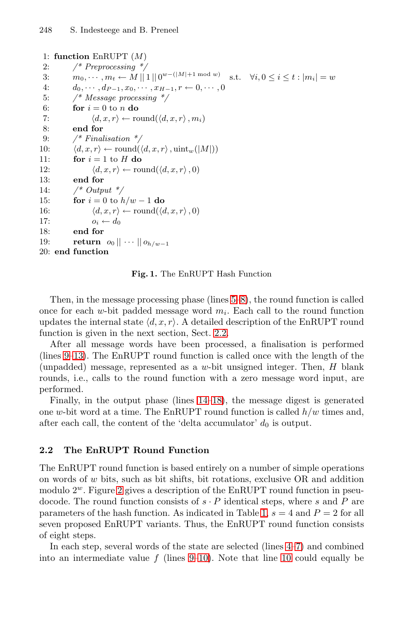<span id="page-2-11"></span><span id="page-2-10"></span><span id="page-2-9"></span><span id="page-2-8"></span><span id="page-2-7"></span><span id="page-2-6"></span><span id="page-2-4"></span><span id="page-2-3"></span><span id="page-2-2"></span><span id="page-2-1"></span>1: **function** EnRUPT (M) 2: */\* Preprocessing \*/* 3:  $m_0, \dots, m_t \leftarrow M ||1|| 0^{w-(|M|+1 \mod w)} \text{ s.t. } \forall i, 0 \leq i \leq t : |m_i| = w$ <br>
4.  $d_0, \dots, d_{p-1} x_0, \dots, x_{p-1} x_0 \dots 0$ 4:  $d_0, \dots, d_{P-1}, x_0, \dots, x_{H-1}, r \leftarrow 0, \dots, 0$ <br>5: /\* Message processing \*/ 5: */\* Message processing \*/* 6: **for**  $i = 0$  to n **do** 7:  $\langle d, x, r \rangle \leftarrow \text{round}(\langle d, x, r \rangle, m_i)$ <br>8: end for 8: **end for** 9: */\* Finalisation \*/* 10:  $\langle d, x, r \rangle \leftarrow \text{round}(\langle d, x, r \rangle, \text{uint}_w(|M|))$ <br>11: **for**  $i = 1$  to **H do** for  $i = 1$  to  $H$  **do** 12:  $\langle d, x, r \rangle \leftarrow \text{round}(\langle d, x, r \rangle, 0)$ <br>13: **end for** end for 14: */\* Output \*/* 15: **for**  $i = 0$  to  $h/w - 1$  **do**<br>16:  $\langle d, x, r \rangle \leftarrow \text{round}(\langle d, d, d \rangle)$ 16:  $\langle d, x, r \rangle \leftarrow \text{round}(\langle d, x, r \rangle, 0)$  $\langle d, x, r \rangle \leftarrow \text{round}(\langle d, x, r \rangle, 0)$  $\langle d, x, r \rangle \leftarrow \text{round}(\langle d, x, r \rangle, 0)$ <br>17:  $o_i \leftarrow d_0$ 17:  $o_i \leftarrow d_0$ <br>18: end for end for 19: **return**  $o_0 || \cdots || o_{h/w-1}$  $o_0 || \cdots || o_{h/w-1}$  $o_0 || \cdots || o_{h/w-1}$ 20: **end function**

<span id="page-2-0"></span>**Fig. 1.** The EnRUPT Hash Function

Then, in the message processing phase (lines 5–8), the round function is called once for each w-bit [pa](#page-2-6)[dde](#page-2-7)d message word  $m_i$ . Each call to the round function updates the internal state  $\langle d, x, r \rangle$ . A detailed description of the EnRUPT round function is given in the next section, Sect. 2.2.

<span id="page-2-5"></span>After all message words have been processed, a finalisation is performed (lines 9–13). The EnRUPT round function is called once with the length of the (unpadded) message, represented as a  $w$ -bit unsigned integer. Then,  $H$  blank rounds, i.e., calls to the round function with a zero message word input, are performed.

Finally, in the output phase (lines 14–18), the message digest is generated [on](#page-3-0)e w-bit word at a time. The EnRUPT round function is called  $h/w$  times and, after each call, the content of the '[de](#page-1-0)lta accumulator'  $d_0$  is output.

### **2.2 The EnRUPT Round Function**

The EnRUPT ro[un](#page-2-9)[d fu](#page-2-10)nction is based e[ntir](#page-2-10)[ely](#page-2-8) on a number of simple operations on words of  $w$  bits, such as bit shifts, bit rotations, exclusive  $OR$  and addition modulo  $2^w$ . Figure 2 gives a description of the EnRUPT round function in pseudocode. The round function consists of  $s \cdot P$  identical steps, where s and P are parameters of the hash function. As indicated in Table 1,  $s = 4$  and  $P = 2$  for all seven proposed EnRUPT variants. Thus, the EnRUPT round function consists of eight steps.

In each step, several words of the state are selected (lines 4–7) and combined into an intermediate value  $f$  (lines 9–10). Note that line 10 could equally be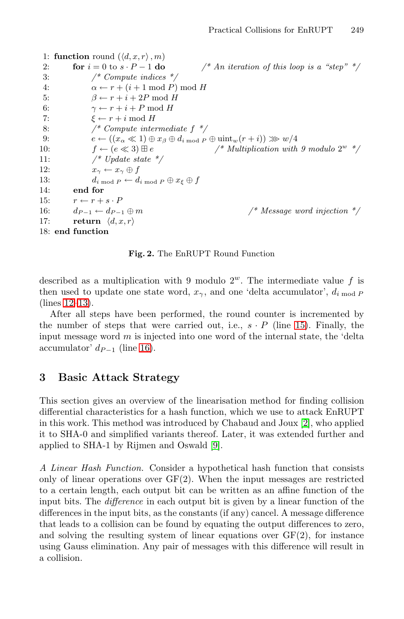```
1: function round (\langle d, x, r \rangle, m)<br>2: for i = 0 to s \cdot P - 1 do
 2: for i = 0 to s \cdot P - 1 do \qquad \qquad /* An iteration of this loop is a "step" */<br>3:
                       3: /* Compute indices */
 4: \alpha \leftarrow r + (i + 1 \mod P) \mod H<br>5: \beta \leftarrow r + i + 2P \mod H5: \beta \leftarrow r + i + 2P \mod H<br>6: \gamma \leftarrow r + i + P \mod H6: \gamma \leftarrow r + i + P \mod H<br>7: \xi \leftarrow r + i \mod H7: \xi \leftarrow r + i \mod H<br>8: \frac{\xi}{r} Compute inter
                       8: /* Compute intermediate f */
9: e \leftarrow ((x_{\alpha} \ll 1) \oplus x_{\beta} \oplus d_{i \bmod P} \oplus \text{uint}_{w}(r + i)) \gg w/4<br>10: f \leftarrow (e \ll 3) \boxplus e /* Multiplication with
10: f \leftarrow (e \ll 3) \boxplus e /* Multiplication with 9 modulo 2<sup>w</sup> */<br>11: /* Undate state */
                        11: /* Update state */
12: x_{\gamma} \leftarrow x_{\gamma} \oplus f<br>13: d_{\gamma} \leftarrow b \oplus f13: d_i \mod P \leftarrow d_i \mod P \oplus x_{\xi} \oplus f<br>14: end for
               end for
15: r \leftarrow r + s \cdot P<br>16: d_{P-1} \leftarrow d_{P-1} \oplus m16: d_{P-1} \leftarrow d_{P-1} \oplus m /* Message word injection */<br>17: return \langle d, x, r \ranglereturn \langle d, x, r \rangle18: end function
```
<span id="page-3-0"></span>**Fig. 2.** The EnRUPT Round Function

described as a multiplication with 9 modulo  $2^w$ . The intermediate value f is then used to update one state word,  $x_{\gamma}$ , and one 'delta accumulator',  $d_{i \mod P}$ (lines 12–13).

After all steps have been performed, the round counter is incremented by the number of steps that were carried out, i.e.,  $s \cdot P$  (line 15). Finally, the input message w[ord](#page-12-2)  $m$  is injected into one word of the internal state, the 'delta accumulator'  $d_{P-1}$  (line 16).

# **3 Basic Attack Strategy**

This section gives an overview of the linearisation method for finding collision differential characteristics for a hash function, which we use to attack EnRUPT in this work. This method was introduced by Chabaud and Joux [2], who applied it to SHA-0 and simplified variants thereof. Later, it was extended further and applied to SHA-1 by Rijmen and Oswald [9].

*A Linear Hash Function.* Consider a hypothetical hash function that consists only of linear operations over  $GF(2)$ . When the input messages are restricted to a certain length, each output bit can be written as an affine function of the input bits. The *difference* in each output bit is given by a linear function of the differences in the input bits, as the constants (if any) cancel. A message difference that leads to a collision can be found by equating the output differences to zero, and solving the resulting system of linear equations over  $GF(2)$ , for instance using Gauss elimination. Any pair of messages with this difference will result in a collision.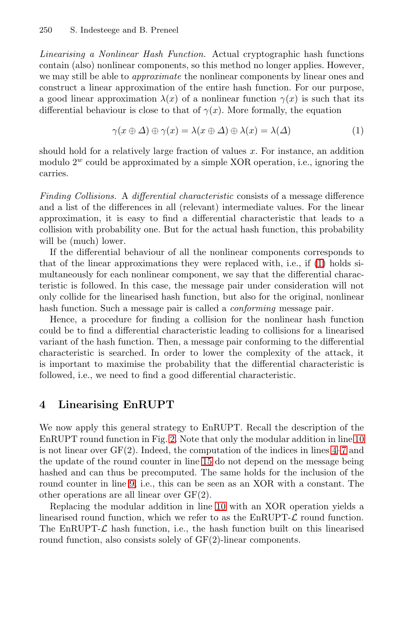*Linearising a Nonlinear Hash Function.* Actual cryptographic hash functions contain (also) nonlinear components, so this method no longer applies. However, we may still be able to *approximate* the nonlinear components by linear ones and construct a linear approximation of the entire hash function. For our purpose, a good linear approximation  $\lambda(x)$  of a nonlinear function  $\gamma(x)$  is such that its differential behaviour is close to that of  $\gamma(x)$ . More formally, the equation

$$
\gamma(x \oplus \Delta) \oplus \gamma(x) = \lambda(x \oplus \Delta) \oplus \lambda(x) = \lambda(\Delta)
$$
 (1)

should hold for a relatively large fraction of values  $x$ . For instance, an addition modulo  $2^w$  could be approximated by a simple XOR operation, i.e., ignoring the carries.

*Finding Collisions.* A *differential characteristic* consists of a message difference and a list of the differences in all (relevant) intermediate values. For the linear approximation, it is easy to find a differential characteristic that leads to a collision with probability one. But for the actual hash function, this probability will be (much) lower.

If the differential behaviour of all the nonlinear components corresponds to that of the linear approximations they were replaced with, i.e., if (1) holds simultaneously for each nonlinear component, we say that the differential characteristic is followed. In this case, the message pair under consideration will not only collide for the linearised hash function, but also for the original, nonlinear hash function. Such a message pair is called a *conforming* message pair.

<span id="page-4-0"></span>Hence, a procedure for finding a collision for the nonlinear hash function could be to find a differential characteristic leading to collisions for a linearised variant of the hash function. Then, a message pair conforming to the differential characteristi[c](#page-3-0) is searched. In order to lower the comple[xity](#page-2-10) of the attack, it is important to maximise the probability that the [di](#page-2-2)[ffer](#page-2-8)ential characteristic is followed, i.e., we nee[d to](#page-2-11) find a good differential characteristic.

### **4 Linearising EnRUPT**

We now apply this gen[eral](#page-2-10) strategy to EnRUPT. Recall the description of the EnRUPT round function in Fig. 2. Note that only the modular addition in line 10 is not linear over  $GF(2)$ . Indeed, the computation of the indices in lines  $4-7$  and the update of the round counter in line 15 do not depend on the message being hashed and can thus be precomputed. The same holds for the inclusion of the round counter in line 9, i.e., this can be seen as an XOR with a constant. The other operations are all linear over GF(2).

Replacing the modular addition in line 10 with an XOR operation yields a linearised round function, which we refer to as the  $EnRUPT-\mathcal{L}$  round function. The EnRUPT- $\mathcal{L}$  hash function, i.e., the hash function built on this linearised round function, also consists solely of GF(2)-linear components.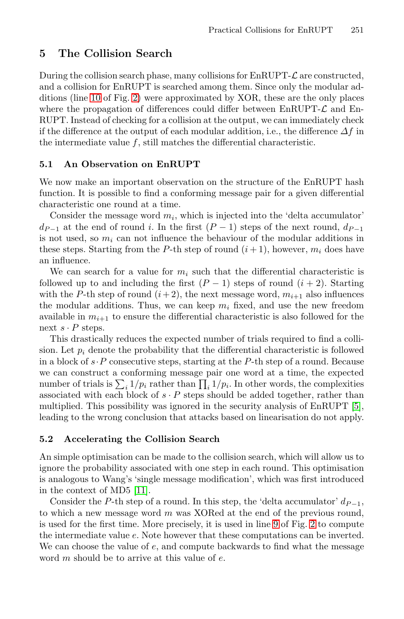# <span id="page-5-0"></span>**5 The Collision Search**

<span id="page-5-1"></span>During the collision search phase, many collisions for  $EnRUPT-\mathcal{L}$  are constructed, and a collision for EnRUPT is searched among them. Since only the modular additions (line 10 of Fig. 2) were approximated by XOR, these are the only places where the propagation of differences could differ between  $EnRUPT-\mathcal{L}$  and En-RUPT. Instead of checking for a collision at the output, we can immediately check if the difference at the output of each modular addition, i.e., the difference  $\Delta f$  in the intermediate value  $f$ , still matches the differential characteristic.

# **5.1 An Observation on EnRUPT**

We now make an important observation on the structure of the EnRUPT hash function. It is possible to find a conforming message pair for a given differential characteristic one round at a time.

Consider the message word  $m_i$ , which is injected into the 'delta accumulator'  $d_{P-1}$  at the end of round i. In the first  $(P-1)$  steps of the next round,  $d_{P-1}$ is not used, so  $m_i$  can not influence the behaviour of the modular additions in these steps. Starting from the P-th step of round  $(i + 1)$ , however,  $m_i$  does have an influence.

We can search for a value for  $m_i$  such that the differential characteristic is followed up to and including the first  $(P-1)$  steps of round  $(i + 2)$ . Starting with the P-th step of round  $(i+2)$ , the next message word,  $m_{i+1}$  also influences the modular additions. Thus, we can keep  $m_i$  fixed, and use the new freedom available in  $m_{i+1}$  to ensure the differential characteristic i[s a](#page-12-1)lso followed for the next  $s \cdot P$  steps.

<span id="page-5-2"></span>This drastically reduces the expected number of trials required to find a collision. Let  $p_i$  denote the probability that the differential characteristic is followed in a block of  $s \cdot P$  consecutive steps, starting at the P-th step of a round. Because we can construct a conforming message pair one word at a time, the expected number of trials is  $\sum_i 1/p_i$  rather than  $\prod_i 1/p_i$ . In other words, the complexities associated with each block of  $s \cdot P$  steps should be added together, rather than mul[tipli](#page-13-2)ed. This possibility was ignored in the security analysis of EnRUPT [5], leading to the wrong conclusion that attacks based on linearisation do not apply.

#### **5.2 Accelerating the Collision [Sea](#page-2-9)rch**

An simple optimisation can be made to the collision search, which will allow us to ignore the probability associated with one step in each round. This optimisation is analogous to Wang's 'single message modification', which was first introduced in the context of MD5 [11].

Consider the P-th step of a round. In this step, the 'delta accumulator'  $d_{P-1}$ , to which a new message word  $m$  was XORed at the end of the previous round, is used for the first time. More precisely, it is used in line 9 of Fig. 2 to compute the intermediate value e. Note however that these computations can be inverted. We can choose the value of  $e$ , and compute backwards to find what the message word m should be to arrive at this value of e.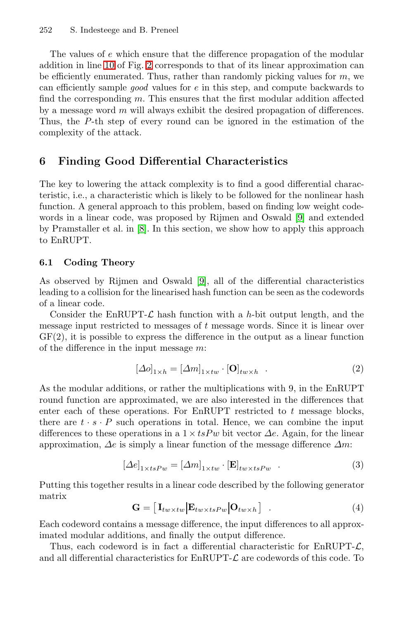<span id="page-6-0"></span>The values of e which ensure that the difference propagation of the modular addition in line 10 of Fig. 2 corresponds to that of its linear approximation can be efficiently enumerated. Thus, rather than randomly picking values for  $m$ , we can efficiently sample *good* values for e in this step, and compute backwards to find the corresponding  $m$ . This ensures that the first modular addition affected by a message word  $m$  will always exhibit the desired propagation of differences. Thus, the P-th step of every round can be ignored in the estimation of the complexity of the attack.

### **6 Finding Good Differential Characteristics**

The key to lowering the attack complexity is to find a good differential characteristic, i.e., a chara[ct](#page-13-1)eristic which is likely to be followed for the nonlinear hash function. A general approach to this problem, based on finding low weight codewords in a linear code, was proposed by Rijmen and Oswald [9] and extended by Pramstaller et al. in [8]. In this section, we show how to apply this approach to EnRUPT.

### **6.1 Coding Theory**

As observed by Rijmen and Oswald [9], all of the differential characteristics leading to a collision for the linearised hash function can be seen as the codewords of a linear code.

Consider the EnRUPT- $\mathcal L$  hash function with a h-bit output length, and the message input restricted to messages of  $t$  message words. Since it is linear over  $GF(2)$ , it is possible to express the difference in the output as a linear function of the difference in the input message m:

$$
\left[\Delta o\right]_{1 \times h} = \left[\Delta m\right]_{1 \times tw} \cdot \left[\mathbf{O}\right]_{tw \times h} \tag{2}
$$

<span id="page-6-1"></span>As the modular additions, or rather the multiplications with 9, in the EnRUPT round function are approximated, we are also interested in the differences that enter each of these operations. For EnRUPT restricted to  $t$  message blocks, there are  $t \cdot s \cdot P$  such operations in total. Hence, we can combine the input differences to these operations in a  $1 \times tsPw$  bit vector  $\Delta e$ . Again, for the linear approximation,  $\Delta e$  is simply a linear function of the message difference  $\Delta m$ :

$$
[\Delta e]_{1 \times tsPw} = [\Delta m]_{1 \times tw} \cdot [\mathbf{E}]_{tw \times tsPw} . \tag{3}
$$

Putting this together results in a linear code described by the following generator matrix

$$
\mathbf{G} = \begin{bmatrix} \mathbf{I}_{tw \times tw} | \mathbf{E}_{tw \times tsPw} | \mathbf{O}_{tw \times h} \end{bmatrix} . \tag{4}
$$

Each codeword contains a message difference, the input differences to all approximated modular additions, and finally the output difference.

Thus, each codeword is in fact a differential characteristic for  $EnRUPT-\mathcal{L}$ , and all differential characteristics for  $EnRUPT-\mathcal{L}$  are codewords of this code. To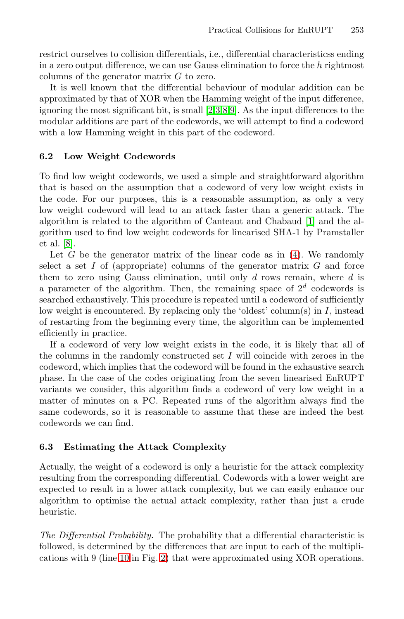<span id="page-7-0"></span>restrict ourselves to collision differentials, i.e., differential characteristicss ending in a zero output difference, we can use Gauss elimination to force the  $h$  rightmost columns of the generator matrix G to zero.

It is well known that the differential behaviour of modular addition can be approximated by that of XOR when the Hamming weight of the input difference, ignoring the most significant bit, is small [2,3,8,9]. As the input differences to the modular additions are part of the codewords, we will attempt to find a codeword with a low Hamming weight in this part of th[e c](#page-12-4)odeword.

### **6.2 Low Weight Codewords**

To find low weight codewords, we used a s[im](#page-6-1)ple and straightforward algorithm that is based on the assumption that a codeword of very low weight exists in the code. For our purposes, this is a reasonable assumption, as only a very low weight codeword will lead to an attack faster than a generic attack. The algorithm is related to the algorithm of Canteaut and Chabaud [1] and the algorithm used to find low weight codewords for linearised SHA-1 by Pramstaller et al. [8].

Let  $G$  be the generator matrix of the linear code as in  $(4)$ . We randomly select a set  $I$  of (appropriate) columns of the generator matrix  $G$  and force them to zero using Gauss elimination, until only  $d$  rows remain, where  $d$  is a parameter of the algorithm. Then, the remaining space of  $2^d$  codewords is searched exhaustively. This procedure is repeated until a codeword of sufficiently low weight is encountered. By replacing only the 'oldest' column(s) in  $I$ , instead of restarting from the beginning every time, the algorithm can be implemented efficiently in practice.

<span id="page-7-1"></span>If a codeword of very low weight exists in the code, it is likely that all of the columns in the randomly constructed set  $I$  will coincide with zeroes in the codeword, which implies that the codeword will be found in the exhaustive search phase. In the case of the codes originating from the seven linearised EnRUPT variants we consider, this algorithm finds a codeword of very low weight in a matter of minutes on a PC. Repeated runs of the algorithm always find the same codewords, so it is reasonable to assume that these are indeed the best codewords we can find.

### **6.3 Estimating the Attack Complexity**

[Act](#page-2-10)ually, [the](#page-3-0) weight of a codeword is only a heuristic for the attack complexity resulting from the corresponding differential. Codewords with a lower weight are expected to result in a lower attack complexity, but we can easily enhance our algorithm to optimise the actual attack complexity, rather than just a crude heuristic.

*The Differential Probability.* The probability that a differential characteristic is followed, is determined by the differences that are input to each of the multiplications with 9 (line 10 in Fig. 2) that were approximated using XOR operations.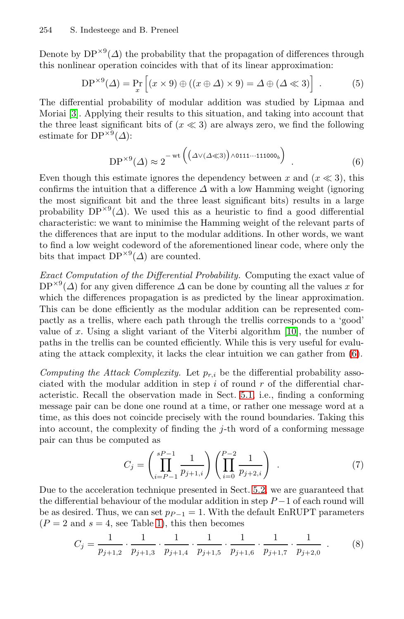Denote by  $DP^{\times 9}(\Delta)$  the probability that the propagation of differences through this nonlinear operation coincides with that of its linear approximation:

$$
DP^{\times 9}(\Delta) = \Pr_x \left[ (x \times 9) \oplus ((x \oplus \Delta) \times 9) = \Delta \oplus (\Delta \ll 3) \right] . \tag{5}
$$

The differential probability of modular addition was studied by Lipmaa and Moriai [3]. Applying their results to this situation, and taking into account that the three least significant bits of  $(x \ll 3)$  are always zero, we find the following estimate for  $DP^{\times 9}(\Delta)$ :

$$
DP^{\times 9}(\Delta) \approx 2^{-\text{wt}\left(\left(\Delta \vee (\Delta \ll 3)\right) \wedge 0111\cdots 111000_b\right)}.
$$
 (6)

Even though this estimate ignores the dependency between x and  $(x \ll 3)$ , this confirms the intuition that a difference  $\Delta$  with a low Hamming weight (ignoring the most significant bit and the three least significant bits) results in a large probability  $DP^{\times 9}(\Delta)$ . We used this as a heuristic to find a good differential characteristic: we want to minimise the Hamming weight of the relevant parts of the differences that are input to the modular additions. In other words, we want to find a low weight codeword of the afor[eme](#page-13-3)ntioned linear code, where only the bits that impact  $DP^{\times 9}(\Delta)$  are counted.

*Exact Computation of the Differential Probability.* Computing the exact value of  $DP^{\times 9}(\Delta)$  for any given difference  $\Delta$  can be done by counting all the values x for which the differences propagation is as predicted by the linear approximation. This can be done efficiently [as th](#page-5-1)e modular addition can be represented compactly as a trellis, where each path through the trellis corresponds to a 'good' value of x. Using a slight variant of the Viterbi algorithm  $[10]$ , the number of paths in the trellis can be counted efficiently. While this is very useful for evaluating the attack complexity, it lacks the clear intuition we can gather from (6).

*Computing the Attack Complexity.* Let  $p_{r,i}$  be the differential probability associated with the modular addition in step  $i$  of round  $r$  of the differential characteristic. Recall the observation made in Sect. 5.1, i.e., finding a conforming message pair can be done one ro[und](#page-5-2) at a time, or rather one message word at a time, as this does not coincide precisely with the round boundaries. Taking this into account, the complexity of finding the  $j$ -th word of a conforming message pair can [thu](#page-1-0)s be computed as

$$
C_j = \left(\prod_{i=P-1}^{sP-1} \frac{1}{p_{j+1,i}}\right) \left(\prod_{i=0}^{P-2} \frac{1}{p_{j+2,i}}\right) \tag{7}
$$

Due to the acceleration technique presented in Sect. 5.2, we are guaranteed that the differential behaviour of the modular addition in step  $P-1$  of each round will be as desired. Thus, we can set  $p_{P-1} = 1$ . With the default EnRUPT parameters  $(P = 2$  and  $s = 4$ , see Table 1), this then becomes

$$
C_j = \frac{1}{p_{j+1,2}} \cdot \frac{1}{p_{j+1,3}} \cdot \frac{1}{p_{j+1,4}} \cdot \frac{1}{p_{j+1,5}} \cdot \frac{1}{p_{j+1,6}} \cdot \frac{1}{p_{j+1,7}} \cdot \frac{1}{p_{j+2,0}} \tag{8}
$$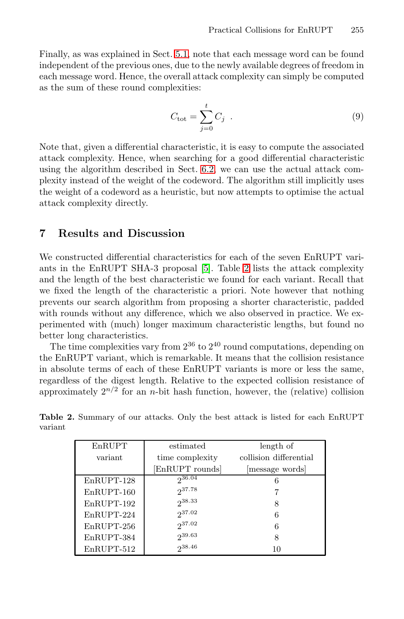Finally, as was explained in Sect. 5.1, note that each message word can be found independent of the previous ones, due to the newly available degrees of freedom in each message word. Hence, the overall attack complexity can simply be computed as the sum of these [roun](#page-7-0)d complexities:

$$
C_{\text{tot}} = \sum_{j=0}^{t} C_j \tag{9}
$$

<span id="page-9-0"></span>Note that, given a differential characteristic, it is easy to compute the associated attack complexity. Hence, when searching for a good differential characteristic using the algorithm described in Sect. 6.2, we can use the actual attack complexity instead of the [w](#page-12-1)eight of [th](#page-9-1)e codeword. The algorithm still implicitly uses the weight of a codeword as a heuristic, but now attempts to optimise the actual attack complexity directly.

# **7 Results and Discussion**

We constructed differential characteristics for each of the seven EnRUPT variants in the EnRUPT SHA-3 proposal [5]. Table 2 lists the attack complexity and the length of the best characteristic we found for each variant. Recall that we fixed the length of the characteristic a priori. Note however that nothing prevents our search algorithm from proposing a shorter characteristic, padded with rounds without any difference, which we also observed in practice. We experimented with (much) longer maximum characteristic lengths, but found no better long characteristics.

<span id="page-9-1"></span>The time complexities vary from  $2^{36}$  to  $2^{40}$  round computations, depending on the EnRUPT variant, which is remarkable. It means that the collision resistance in absolute terms of each of these EnRUPT variants is more or less the same, regardless of the digest length. Relative to the expected collision resistance of approximately  $2^{n/2}$  for an *n*-bit hash function, however, the (relative) collision

**Table 2.** Summary of our attacks. Only the best attack is listed for each EnRUPT variant

| EnRUPT       | estimated       | length of              |  |
|--------------|-----------------|------------------------|--|
| variant      | time complexity | collision differential |  |
|              | EnRUPT rounds   | message words          |  |
| EnRUPT-128   | $2^{36.04}$     | 6                      |  |
| $EnRUPT-160$ | 237.78          |                        |  |
| EnRUPT-192   | $2^{38.33}$     | 8                      |  |
| EnRUPT-224   | $2^{37.02}$     | 6                      |  |
| $EnRUPT-256$ | $2^{37.02}$     | 6                      |  |
| EnRUPT-384   | 239.63          | 8                      |  |
| EnRUPT-512   | $2^{38.46}$     | 10                     |  |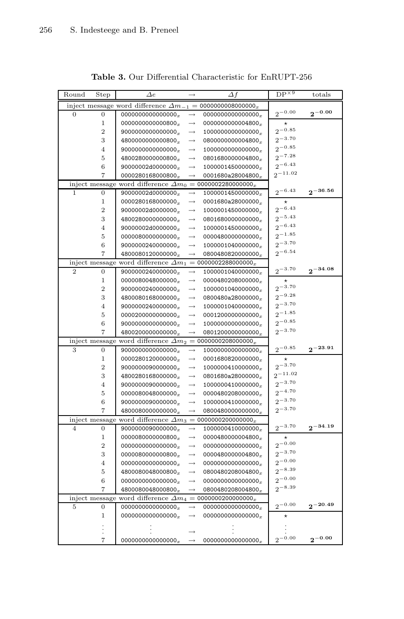| Round | Step           | $\varDelta e$                                |                   | $\Delta f$                    | $DP^{\times 9}$ | totals       |
|-------|----------------|----------------------------------------------|-------------------|-------------------------------|-----------------|--------------|
|       |                | inject message word difference $\varDelta m$ |                   | $= 0000000008000000x$         |                 |              |
| 0     | 0              | $0000000000000000_x$                         | $\rightarrow$     | 0000000000000000 $_{x}$       | $2^{-0.00}$     | $2^{-0.00}$  |
|       | 1              | 0000000000000800 $_{x}$                      | $\rightarrow$     | 0000000000004800 $_{x}$       | $^\star$        |              |
|       | $\overline{2}$ | 9000000000000000 $_{x}$                      | $\rightarrow$     | 1000000000000000 <sub>x</sub> | $2^{-0.85}$     |              |
|       | 3              | 4800000000000800 $_x$                        | $\rightarrow$     | 0800000000004800r             | $2^{-3.70}$     |              |
|       | 4              | 9000000000000000                             | $\rightarrow$     | 1000000000000000 <sub>x</sub> | $2^{-0.85}$     |              |
|       | 5              | 4800280000000800 $_x$                        | $\rightarrow$     | 0801680000004800 $_x$         | $2^{-7.28}$     |              |
|       | 6              | 90000002d0000000 $_{x}$                      | $\rightarrow$     | 1000001450000000 $_{x}$       | $2^{-6.43}$     |              |
|       | 7              | 0000280168000800 $_{x}$                      | $\rightarrow$     | 0001680a28004800 $_x$         | $2^{-11.02}$    |              |
|       | inject message | word difference $\Delta m_0 =$               |                   | 0000002280000000 $_{x}$       |                 |              |
| 1     | 0              | 90000002d0000000c                            | $\rightarrow$     | $1000001450000000_x$          | $2^{-6.43}$     | $2^{-36.56}$ |
|       | 1              | 00002801680000007                            | $\rightarrow$     | 0001680a28000000r             | $^\star$        |              |
|       | $\overline{2}$ | 90000002d0000000 <sub>x</sub>                | $\rightarrow$     | 1000001450000000 $_{x}$       | $2^{-6.43}$     |              |
|       | 3              | 4800280000000000                             | $\rightarrow$     | 0801680000000000 $_{x}$       | $2^{-5.43}$     |              |
|       | 4              | 90000002d0000000r                            | $\rightarrow$     | 1000001450000000 $_x$         | $2^{-6.43}$     |              |
|       | 5              | 0000080000000000 <sub>x</sub>                | $\rightarrow$     | 0000480000000000 <sub>x</sub> | $2^{-1.85}$     |              |
|       | 6              | 9000000240000000 $_{x}$                      | $\rightarrow$     | 1000001040000000 $_{x}$       | $2^{-3.70}$     |              |
|       | 7              | 4800080120000000 $_{x}$                      | $\rightarrow$     | 0800480820000000 $_{x}$       | $2^{-6.54}$     |              |
|       | inject message | word difference $\Delta m_1$                 | $=$               | 0000002288000000 $_{x}$       |                 |              |
| 2     | 0              | 9000000240000000 $_{x}$                      | $\rightarrow$     | 1000001040000000 <sub>x</sub> | $2^{-3.70}$     | $2^{-34.08}$ |
|       | 1              | 0000080048000000 $_x$                        | $\rightarrow$     | 0000480208000000 $_x$         |                 |              |
|       | $\overline{2}$ | 9000000240000000 $_{x}$                      | $\rightarrow$     | 1000001040000000 <sub>x</sub> | $2^{-3.70}$     |              |
|       | 3              | 4800080168000000.                            | $\rightarrow$     | 0800480a28000000r             | $2^{-9.28}$     |              |
|       | $\overline{4}$ | 9000000240000000 $_{x}$                      | $\rightarrow$     | 1000001040000000 <sub>x</sub> | $2^{-3.70}$     |              |
|       | 5              | 0000200000000000                             | $\rightarrow$     | 0001200000000000 $_{x}$       | $2^{-1.85}$     |              |
|       | 6              | 9000000000000000 $_{x}$                      | $\rightarrow$     | 1000000000000000 <sub>x</sub> | $2^{-0.85}$     |              |
|       | 7              | 4800200000000000                             |                   | 08012000000000000             | $2^{-3.70}$     |              |
|       |                | inject message word difference $\Delta m_2$  |                   | $= 0000000208000000x$         |                 |              |
| з     | 0              | 9000000000000000 $_{x}$                      | $\rightarrow$     | 1000000000000000 <sub>x</sub> | $2^{-0.85}$     | $2^{-23.91}$ |
|       | 1              | 0000280120000000 $_x$                        | $\rightarrow$     | 00016808200000007             | $^\star$        |              |
|       | $\overline{2}$ | 9000000090000000                             | $\rightarrow$     | 1000000410000000 $_{x}$       | $2^{-3.70}$     |              |
|       | 3              | 4800280168000000 $_{x}$                      | $\rightarrow$     | 0801680a28000000r             | $2^{-11.02}$    |              |
|       | 4              | 9000000090000000                             | $\longrightarrow$ | 1000000410000000 <sub>x</sub> | $2^{-3.70}$     |              |
|       | 5              | 0000080048000000 <sub>x</sub>                | $\rightarrow$     | 0000480208000000 <sub>x</sub> | $2^{-4.70}$     |              |
|       | 6              | 9000000090000000 <sub>x</sub>                | $\rightarrow$     | $1000000410000000_x$          | $2^{-3.70}$     |              |
|       | 7              | 4800080000000000                             | $\rightarrow$     | 0800480000000000              | $2^{-3.70}$     |              |
|       | inject message | word difference $\Delta m_3$                 |                   | $= 0000000200000000x$         |                 |              |
| 4     | 0              | 9000000090000000 $_{x}$                      | $\longrightarrow$ | 1000000410000000 <sub>x</sub> | $2^{-3.70}$     | $2^{-34.19}$ |
|       | 1              | 0000080000000800                             | $\longrightarrow$ | 0000480000004800.             | $^\star$        |              |
|       | $\overline{2}$ | 0000000000000000 <sub>x</sub>                | $\rightarrow$     | 0000000000000000              | $2^{-0.00}$     |              |
|       | 3              | 0000080000000800r                            | $\rightarrow$     | 0000480000004800 $_x$         | $2^{-3.70}$     |              |
|       | 4              | 0000000000000000 <sub>x</sub>                | $\rightarrow$     | 0000000000000000 <sub>x</sub> | $2^{-0.00}$     |              |
|       | 5              | 4800080048000800 $_x$                        | $\rightarrow$     | 0800480208004800 $_x$         | $2^{-8.39}$     |              |
|       | 6              | 0000000000000000                             | $\rightarrow$     | $0000000000000000_x$          | $2^{-0.00}$     |              |
|       | 7              | 4800080048000800 $_x$                        | $\rightarrow$     | 0800480208004800 $_x$         | $2^{-8.39}$     |              |
|       |                | inject message word difference $\Delta m_4$  |                   | $= 0000000200000000x$         |                 |              |
| 5     | 0              | 0000000000000000 $_{x}$                      | $\rightarrow$     | 0000000000000000 $_{x}$       | $2^{-0.00}$     | $2^{-20.49}$ |
|       | 1              | 0000000000000000                             | $\rightarrow$     | 0000000000000000 $_{x}$       | $^\star$        |              |
|       |                |                                              |                   |                               |                 |              |
|       |                |                                              |                   |                               |                 |              |
|       | 7              | 0000000000000000 $_{x}$                      |                   | $0000000000000000_x$          | $2^{-0.00}$     | $2^{-0.00}$  |

**Table 3.** Our Differential Characteristic for EnRUPT-256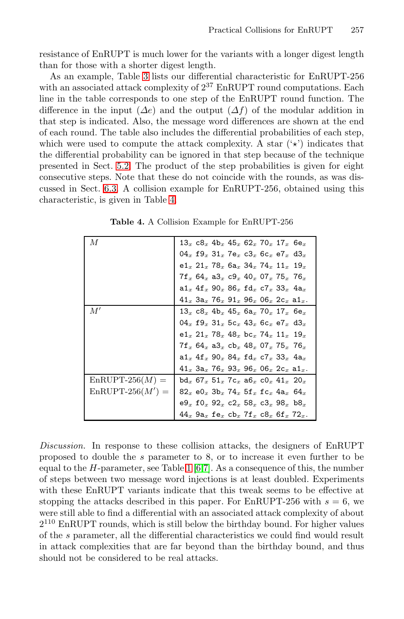resistance of EnRUPT is much lower for the variants with a longer digest length than for those with a shorter digest length.

<span id="page-11-0"></span>[A](#page-5-2)s an example, Table 3 lists our differential characteristic for EnRUPT-256 with an associated attack complexity of  $2^{37}$  EnRUPT round computations. Each [l](#page-7-1)ine in the table corresponds to one step of the EnRUPT round function. The difference in [th](#page-11-0)e input  $(\Delta e)$  and the output  $(\Delta f)$  of the modular addition in that step is indicated. Also, the message word differences are shown at the end of each round. The table also includes the differential probabilities of each step, which were used to compute the attack complexity. A star  $(\star)$  indicates that the differential probability can be ignored in that step because of the technique presented in Sect. 5.2. The product of the step probabilities is given for eight consecutive steps. Note that these do not coincide with the rounds, as was discussed in Sect. 6.3. A collision example for EnRUPT-256, obtained using this characteristic, is given in Table 4.

| М                  | $13_x c8_x 4b_x 45_x 62_x 70_x 17_x 6e_x$                                                                                |
|--------------------|--------------------------------------------------------------------------------------------------------------------------|
|                    | $04_x$ f9 $_x$ 31 $_x$ 7e $_x$ c3 $_x$ 6c $_x$ e7 $_x$ d3 $_x$                                                           |
|                    | e1 $_{x}$ 21 $_{x}$ 78 $_{x}$ 6a $_{x}$ 34 $_{x}$ 74 $_{x}$ 11 $_{x}$ 19 $_{x}$                                          |
|                    | $7f_x$ 64 $_x$ a3 $_x$ c9 $_x$ 40 $_x$ 07 $_x$ 75 $_x$ 76 $_x$                                                           |
|                    | a1 $_x$ 4f $_x$ 90 $_x$ 86 $_x$ fd $_x$ c7 $_x$ 33 $_x$ 4a $_x$                                                          |
|                    | $41_x$ 3a $_x$ 76 $_x$ 91 $_x$ 96 $_x$ 06 $_x$ 2c $_x$ a1 $_x$ .                                                         |
| M'                 | $13_x c8_x 4b_x 45_x 6a_x 70_x 17_x 6e_x$                                                                                |
|                    | 04x $f9_x 31_x 5c_x 43_x 6c_x e7_x d3_x$                                                                                 |
|                    | $e1_x$ 21 $_x$ 78 $_x$ 48 $_x$ bc $_x$ 74 $_x$ 11 $_x$ 19 $_x$                                                           |
|                    | $7f_x$ 64 $_x$ a3 $_x$ cb $_x$ 48 $_x$ 07 $_x$ 75 $_x$ 76 $_x$                                                           |
|                    | $a1_x$ $4f_x$ $90_x$ $84_x$ $fd_x$ $c7_x$ $33_x$ $4a_x$                                                                  |
|                    | $41_x$ 3a <sub>x</sub> 76 <sub>x</sub> 93 <sub>x</sub> 96 <sub>x</sub> 06 <sub>x</sub> 2c <sub>x</sub> a1 <sub>x</sub> . |
| $EnRUPT-256(M) =$  | $bd_x 67_x 51_x 7c_x a6_x c0_x 41_x 20_x$                                                                                |
| $EnRUPT-256(M') =$ | 82x $e0_x$ 3b <sub>x</sub> 74x 5f <sub>x</sub> fc <sub>x</sub> 4a <sub>x</sub> 64x                                       |
|                    | $e9_x f0_x 92_x c2_x 58_x c3_x 98_x b8_x$                                                                                |
|                    | $44_x$ $9a_x$ fe <sub>x</sub> $cb_x$ $7f_x$ $c8_x$ $6f_x$ $72_x$ .                                                       |

**Table 4.** A Collision Example for EnRUPT-256

*Discussion.* In response to these collision attacks, the designers of EnRUPT proposed to double the s parameter to 8, or to increase it even further to be equal to the  $H$ -parameter, see Table 1 [6,7]. As a consequence of this, the number of steps between two message word injections is at least doubled. Experiments with these EnRUPT variants indicate that this tweak seems to be effective at stopping the attacks described in this paper. For EnRUPT-256 with  $s = 6$ , we were still able to find a differential with an associated attack complexity of about  $2^{110}$  EnRUPT rounds, which is still below the birthday bound. For higher values of the s parameter, all the differential characteristics we could find would result in attack complexities that are far beyond than the birthday bound, and thus should not be considered to be real attacks.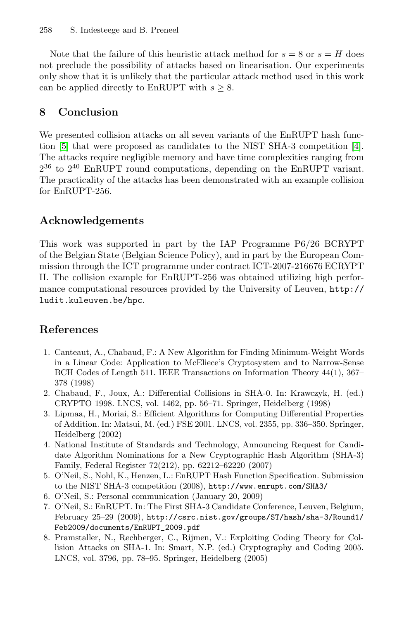<span id="page-12-3"></span>Note that the failure of this heuristic attack method for  $s = 8$  or  $s = H$  does not preclude the possibility of attacks based on linearisa[tio](#page-12-0)n. Our experiments only show that it is unlikely that the particular attack method used in this work can be applied directly to EnRUPT with  $s \geq 8$ .

# **8 Conclusion**

We presented collision attacks on all seven variants of the EnRUPT hash function [5] that were proposed as candidates to the NIST SHA-3 competition [4]. The attacks require negligible memory and have time complexities ranging from  $2^{36}$  to  $2^{40}$  EnRUPT round computations, depending on the EnRUPT variant. The practicality of the attacks has been demonstrated with an example collision for EnRUPT-256.

### **[Ackn](http://ludit.kuleuven.be/hpc)owledgements**

<span id="page-12-4"></span>This work was supported in part by the IAP Programme P6/26 BCRYPT of the Belgian State (Belgian Science Policy), and in part by the European Commission through the ICT programme under contract ICT-2007-216676 ECRYPT II. The collision example for EnRUPT-256 was obtained utilizing high performance computational resources provided by the University of Leuven, http:// ludit.kuleuven.be/hpc.

### <span id="page-12-2"></span><span id="page-12-0"></span>**References**

- 1. Canteaut, A., Chabaud, F.: A New Algorithm for Finding Minimum-Weight Words in a Linear Code: Application to McEliece's Cryptosystem and to Narrow-Sense BCH Codes of Length 511. IEEE Transactions on Information Theory 44(1), 367– 378 (1998)
- <span id="page-12-1"></span>2. Chabaud, F., Joux, A.: Differential Collisions in SHA-0. In: Krawczyk, H. (ed.) CRYPTO 1998. LN[CS,](http://www.enrupt.com/SHA3/) [vol.](http://www.enrupt.com/SHA3/) [1462,](http://www.enrupt.com/SHA3/) [pp.](http://www.enrupt.com/SHA3/) [56–71.](http://www.enrupt.com/SHA3/) [Springe](http://www.enrupt.com/SHA3/)r, Heidelberg (1998)
- <span id="page-12-6"></span><span id="page-12-5"></span>3. Lipmaa, H., Moriai, S.: Efficient Algorithms for Computing Differential Properties of [Addition. In: Matsui, M. \(ed.\) FSE 2001. LNCS, vol. 2355, pp](http://csrc.nist.gov/groups/ST/hash/sha-3/Round1/Feb2009/documents/EnRUPT_2009.pdf). 336–350. Springer, Heidelberg (2002)
- [4.](http://csrc.nist.gov/groups/ST/hash/sha-3/Round1/Feb2009/documents/EnRUPT_2009.pdf) [National](http://csrc.nist.gov/groups/ST/hash/sha-3/Round1/Feb2009/documents/EnRUPT_2009.pdf) [Institute](http://csrc.nist.gov/groups/ST/hash/sha-3/Round1/Feb2009/documents/EnRUPT_2009.pdf) of Standards and Technology, Announcing Request for Candidate Algorithm Nominations for a New Cryptographic Hash Algorithm (SHA-3) Family, Federal Register 72(212), pp. 62212–62220 (2007)
- 5. O'Neil, S., Nohl, K., Henzen, L.: EnRUPT Hash Function Specification. Submission to the NIST SHA-3 competition (2008), http://www.enrupt.com/SHA3/
- 6. O'Neil, S.: Personal communication (January 20, 2009)
- 7. O'Neil, S.: EnRUPT. In: The First SHA-3 Candidate Conference, Leuven, Belgium, February 25–29 (2009), http://csrc.nist.gov/groups/ST/hash/sha-3/Round1/ Feb2009/documents/EnRUPT\_2009.pdf
- 8. Pramstaller, N., Rechberger, C., Rijmen, V.: Exploiting Coding Theory for Collision Attacks on SHA-1. In: Smart, N.P. (ed.) Cryptography and Coding 2005. LNCS, vol. 3796, pp. 78–95. Springer, Heidelberg (2005)